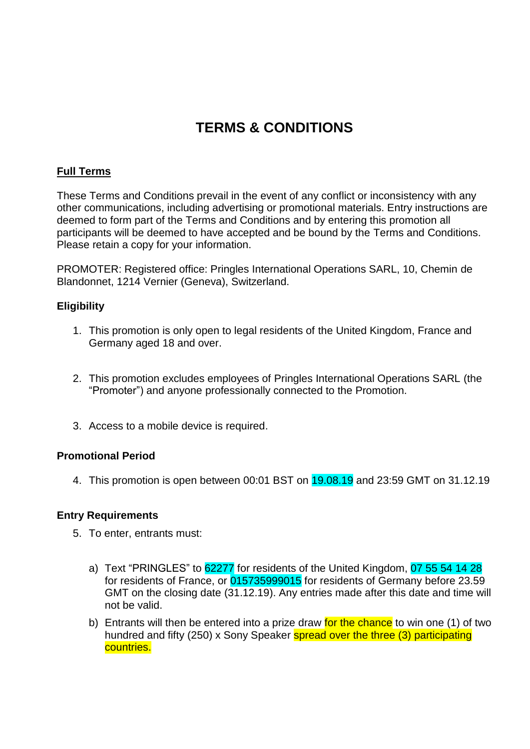# **TERMS & CONDITIONS**

# **Full Terms**

These Terms and Conditions prevail in the event of any conflict or inconsistency with any other communications, including advertising or promotional materials. Entry instructions are deemed to form part of the Terms and Conditions and by entering this promotion all participants will be deemed to have accepted and be bound by the Terms and Conditions. Please retain a copy for your information.

PROMOTER: Registered office: Pringles International Operations SARL, 10, Chemin de Blandonnet, 1214 Vernier (Geneva), Switzerland.

# **Eligibility**

- 1. This promotion is only open to legal residents of the United Kingdom, France and Germany aged 18 and over.
- 2. This promotion excludes employees of Pringles International Operations SARL (the "Promoter") and anyone professionally connected to the Promotion.
- 3. Access to a mobile device is required.

# **Promotional Period**

4. This promotion is open between 00:01 BST on 19.08.19 and 23:59 GMT on 31.12.19

## **Entry Requirements**

- 5. To enter, entrants must:
	- a) Text "PRINGLES" to 62277 for residents of the United Kingdom, 07 55 54 14 28 for residents of France, or 015735999015 for residents of Germany before 23.59 GMT on the closing date (31.12.19). Any entries made after this date and time will not be valid.
	- b) Entrants will then be entered into a prize draw for the chance to win one (1) of two hundred and fifty (250) x Sony Speaker spread over the three (3) participating countries.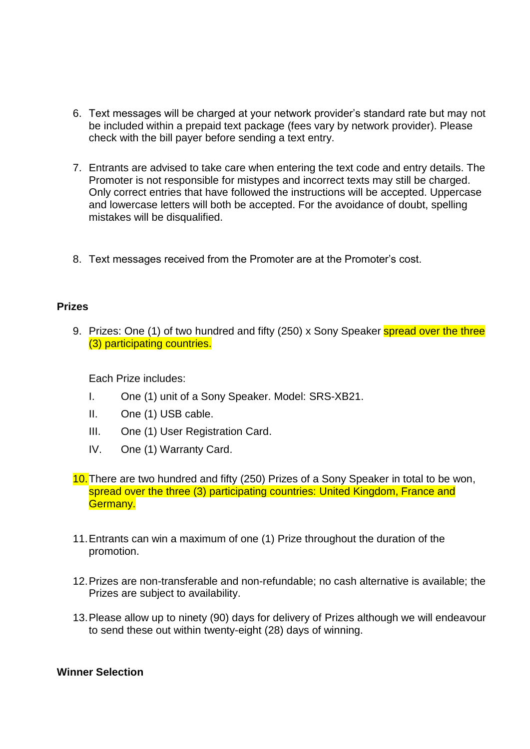- 6. Text messages will be charged at your network provider's standard rate but may not be included within a prepaid text package (fees vary by network provider). Please check with the bill payer before sending a text entry.
- 7. Entrants are advised to take care when entering the text code and entry details. The Promoter is not responsible for mistypes and incorrect texts may still be charged. Only correct entries that have followed the instructions will be accepted. Uppercase and lowercase letters will both be accepted. For the avoidance of doubt, spelling mistakes will be disqualified.
- 8. Text messages received from the Promoter are at the Promoter's cost.

#### **Prizes**

9. Prizes: One (1) of two hundred and fifty (250) x Sony Speaker spread over the three (3) participating countries.

Each Prize includes:

- I. One (1) unit of a Sony Speaker. Model: SRS-XB21.
- II. One (1) USB cable.
- III. One (1) User Registration Card.
- IV. One (1) Warranty Card.
- 10.There are two hundred and fifty (250) Prizes of a Sony Speaker in total to be won, spread over the three (3) participating countries: United Kingdom, France and Germany.
- 11.Entrants can win a maximum of one (1) Prize throughout the duration of the promotion.
- 12.Prizes are non-transferable and non-refundable; no cash alternative is available; the Prizes are subject to availability.
- 13.Please allow up to ninety (90) days for delivery of Prizes although we will endeavour to send these out within twenty-eight (28) days of winning.

#### **Winner Selection**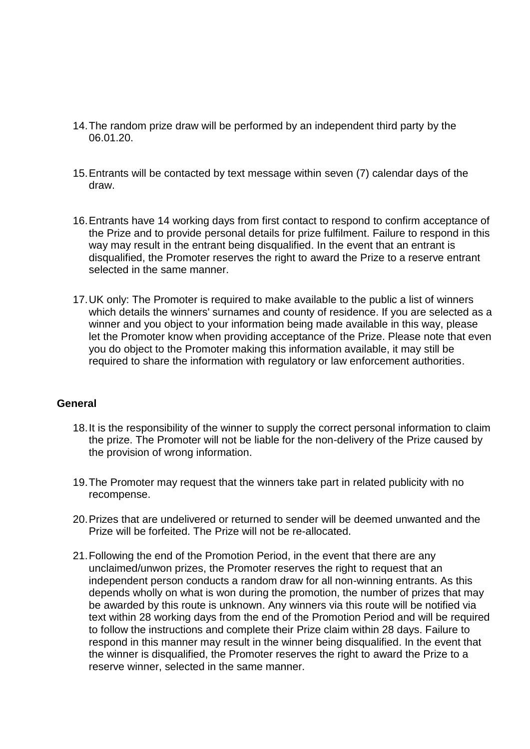- 14.The random prize draw will be performed by an independent third party by the 06.01.20.
- 15.Entrants will be contacted by text message within seven (7) calendar days of the draw.
- 16.Entrants have 14 working days from first contact to respond to confirm acceptance of the Prize and to provide personal details for prize fulfilment. Failure to respond in this way may result in the entrant being disqualified. In the event that an entrant is disqualified, the Promoter reserves the right to award the Prize to a reserve entrant selected in the same manner.
- 17.UK only: The Promoter is required to make available to the public a list of winners which details the winners' surnames and county of residence. If you are selected as a winner and you object to your information being made available in this way, please let the Promoter know when providing acceptance of the Prize. Please note that even you do object to the Promoter making this information available, it may still be required to share the information with regulatory or law enforcement authorities.

## **General**

- 18.It is the responsibility of the winner to supply the correct personal information to claim the prize. The Promoter will not be liable for the non-delivery of the Prize caused by the provision of wrong information.
- 19.The Promoter may request that the winners take part in related publicity with no recompense.
- 20.Prizes that are undelivered or returned to sender will be deemed unwanted and the Prize will be forfeited. The Prize will not be re-allocated.
- 21.Following the end of the Promotion Period, in the event that there are any unclaimed/unwon prizes, the Promoter reserves the right to request that an independent person conducts a random draw for all non-winning entrants. As this depends wholly on what is won during the promotion, the number of prizes that may be awarded by this route is unknown. Any winners via this route will be notified via text within 28 working days from the end of the Promotion Period and will be required to follow the instructions and complete their Prize claim within 28 days. Failure to respond in this manner may result in the winner being disqualified. In the event that the winner is disqualified, the Promoter reserves the right to award the Prize to a reserve winner, selected in the same manner.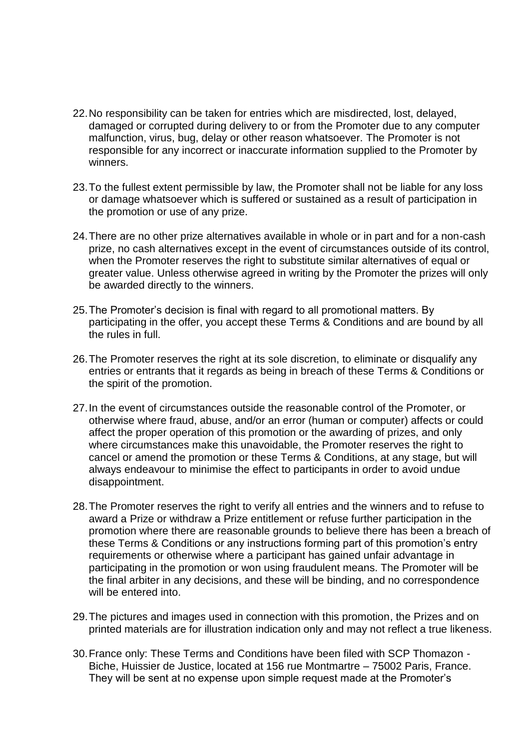- 22.No responsibility can be taken for entries which are misdirected, lost, delayed, damaged or corrupted during delivery to or from the Promoter due to any computer malfunction, virus, bug, delay or other reason whatsoever. The Promoter is not responsible for any incorrect or inaccurate information supplied to the Promoter by winners.
- 23.To the fullest extent permissible by law, the Promoter shall not be liable for any loss or damage whatsoever which is suffered or sustained as a result of participation in the promotion or use of any prize.
- 24.There are no other prize alternatives available in whole or in part and for a non-cash prize, no cash alternatives except in the event of circumstances outside of its control, when the Promoter reserves the right to substitute similar alternatives of equal or greater value. Unless otherwise agreed in writing by the Promoter the prizes will only be awarded directly to the winners.
- 25.The Promoter's decision is final with regard to all promotional matters. By participating in the offer, you accept these Terms & Conditions and are bound by all the rules in full.
- 26.The Promoter reserves the right at its sole discretion, to eliminate or disqualify any entries or entrants that it regards as being in breach of these Terms & Conditions or the spirit of the promotion.
- 27.In the event of circumstances outside the reasonable control of the Promoter, or otherwise where fraud, abuse, and/or an error (human or computer) affects or could affect the proper operation of this promotion or the awarding of prizes, and only where circumstances make this unavoidable, the Promoter reserves the right to cancel or amend the promotion or these Terms & Conditions, at any stage, but will always endeavour to minimise the effect to participants in order to avoid undue disappointment.
- 28.The Promoter reserves the right to verify all entries and the winners and to refuse to award a Prize or withdraw a Prize entitlement or refuse further participation in the promotion where there are reasonable grounds to believe there has been a breach of these Terms & Conditions or any instructions forming part of this promotion's entry requirements or otherwise where a participant has gained unfair advantage in participating in the promotion or won using fraudulent means. The Promoter will be the final arbiter in any decisions, and these will be binding, and no correspondence will be entered into.
- 29.The pictures and images used in connection with this promotion, the Prizes and on printed materials are for illustration indication only and may not reflect a true likeness.
- 30.France only: These Terms and Conditions have been filed with SCP Thomazon Biche, Huissier de Justice, located at 156 rue Montmartre – 75002 Paris, France. They will be sent at no expense upon simple request made at the Promoter's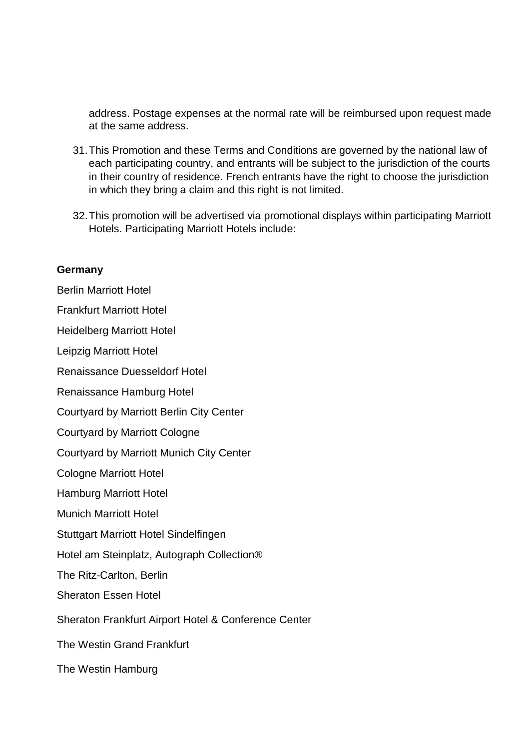address. Postage expenses at the normal rate will be reimbursed upon request made at the same address.

- 31.This Promotion and these Terms and Conditions are governed by the national law of each participating country, and entrants will be subject to the jurisdiction of the courts in their country of residence. French entrants have the right to choose the jurisdiction in which they bring a claim and this right is not limited.
- 32.This promotion will be advertised via promotional displays within participating Marriott Hotels. Participating Marriott Hotels include:

#### **Germany**

Berlin Marriott Hotel Frankfurt Marriott Hotel Heidelberg Marriott Hotel Leipzig Marriott Hotel Renaissance Duesseldorf Hotel Renaissance Hamburg Hotel Courtyard by Marriott Berlin City Center Courtyard by Marriott Cologne Courtyard by Marriott Munich City Center Cologne Marriott Hotel Hamburg Marriott Hotel Munich Marriott Hotel Stuttgart Marriott Hotel Sindelfingen Hotel am Steinplatz, Autograph Collection® The Ritz-Carlton, Berlin Sheraton Essen Hotel Sheraton Frankfurt Airport Hotel & Conference Center The Westin Grand Frankfurt The Westin Hamburg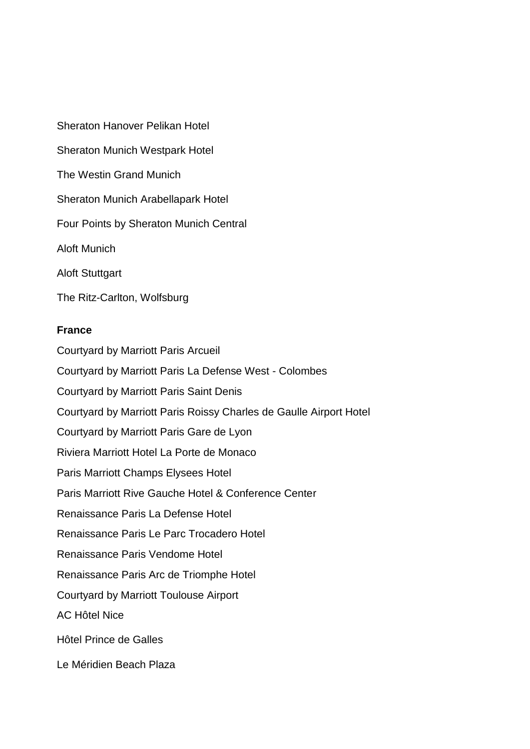Sheraton Hanover Pelikan Hotel Sheraton Munich Westpark Hotel The Westin Grand Munich Sheraton Munich Arabellapark Hotel Four Points by Sheraton Munich Central Aloft Munich Aloft Stuttgart

The Ritz-Carlton, Wolfsburg

## **France**

Courtyard by Marriott Paris Arcueil Courtyard by Marriott Paris La Defense West - Colombes Courtyard by Marriott Paris Saint Denis Courtyard by Marriott Paris Roissy Charles de Gaulle Airport Hotel Courtyard by Marriott Paris Gare de Lyon Riviera Marriott Hotel La Porte de Monaco Paris Marriott Champs Elysees Hotel Paris Marriott Rive Gauche Hotel & Conference Center Renaissance Paris La Defense Hotel Renaissance Paris Le Parc Trocadero Hotel Renaissance Paris Vendome Hotel Renaissance Paris Arc de Triomphe Hotel Courtyard by Marriott Toulouse Airport AC Hôtel Nice Hôtel Prince de Galles Le Méridien Beach Plaza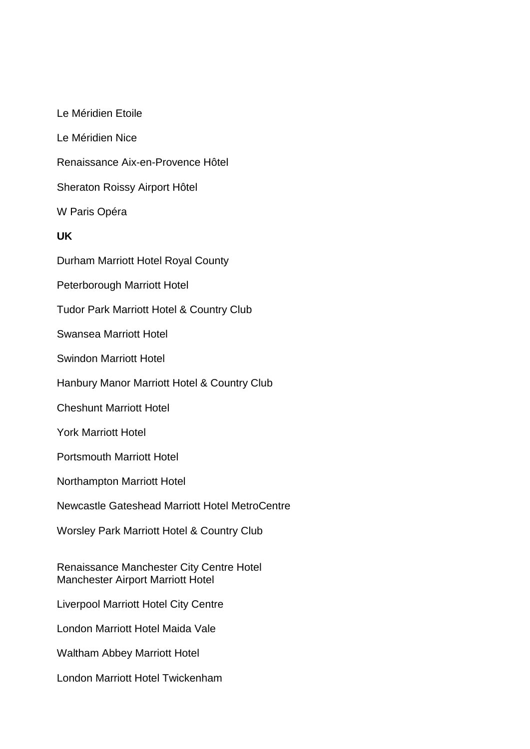Le Méridien Etoile Le Méridien Nice Renaissance Aix-en-Provence Hôtel Sheraton Roissy Airport Hôtel W Paris Opéra **UK** Durham Marriott Hotel Royal County Peterborough Marriott Hotel Tudor Park Marriott Hotel & Country Club Swansea Marriott Hotel Swindon Marriott Hotel Hanbury Manor Marriott Hotel & Country Club Cheshunt Marriott Hotel York Marriott Hotel Portsmouth Marriott Hotel Northampton Marriott Hotel Newcastle Gateshead Marriott Hotel MetroCentre Worsley Park Marriott Hotel & Country Club Renaissance Manchester City Centre Hotel Manchester Airport Marriott Hotel Liverpool Marriott Hotel City Centre London Marriott Hotel Maida Vale Waltham Abbey Marriott Hotel London Marriott Hotel Twickenham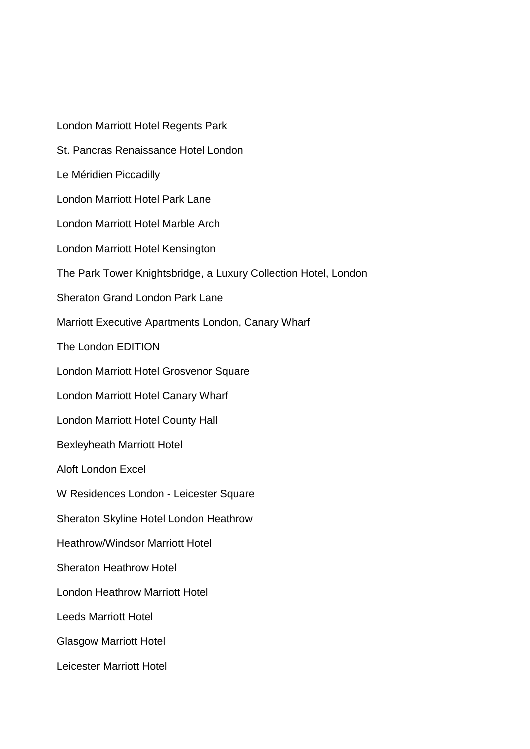London Marriott Hotel Regents Park St. Pancras Renaissance Hotel London Le Méridien Piccadilly London Marriott Hotel Park Lane London Marriott Hotel Marble Arch London Marriott Hotel Kensington The Park Tower Knightsbridge, a Luxury Collection Hotel, London Sheraton Grand London Park Lane Marriott Executive Apartments London, Canary Wharf The London EDITION London Marriott Hotel Grosvenor Square London Marriott Hotel Canary Wharf London Marriott Hotel County Hall Bexleyheath Marriott Hotel Aloft London Excel W Residences London - Leicester Square Sheraton Skyline Hotel London Heathrow Heathrow/Windsor Marriott Hotel Sheraton Heathrow Hotel London Heathrow Marriott Hotel Leeds Marriott Hotel Glasgow Marriott Hotel Leicester Marriott Hotel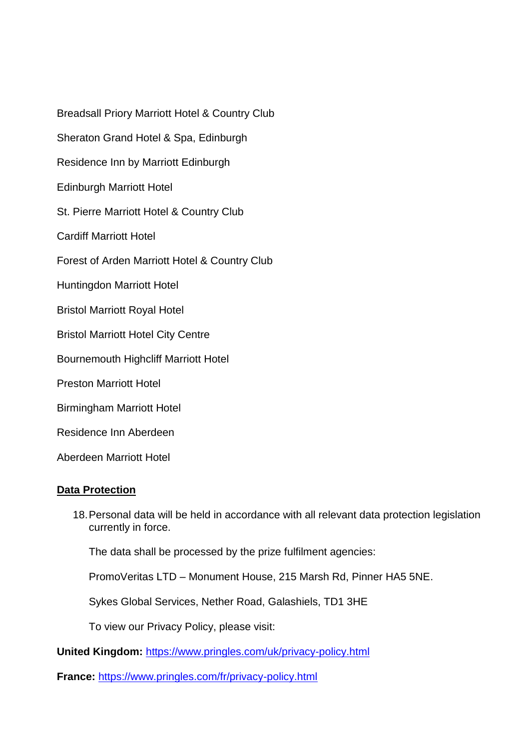Breadsall Priory Marriott Hotel & Country Club Sheraton Grand Hotel & Spa, Edinburgh Residence Inn by Marriott Edinburgh Edinburgh Marriott Hotel St. Pierre Marriott Hotel & Country Club Cardiff Marriott Hotel Forest of Arden Marriott Hotel & Country Club Huntingdon Marriott Hotel Bristol Marriott Royal Hotel Bristol Marriott Hotel City Centre Bournemouth Highcliff Marriott Hotel Preston Marriott Hotel Birmingham Marriott Hotel Residence Inn Aberdeen

Aberdeen Marriott Hotel

# **Data Protection**

18.Personal data will be held in accordance with all relevant data protection legislation currently in force.

The data shall be processed by the prize fulfilment agencies:

PromoVeritas LTD – Monument House, 215 Marsh Rd, Pinner HA5 5NE.

Sykes Global Services, Nether Road, Galashiels, TD1 3HE

To view our Privacy Policy, please visit:

**United Kingdom:** <https://www.pringles.com/uk/privacy-policy.html>

**France:** <https://www.pringles.com/fr/privacy-policy.html>